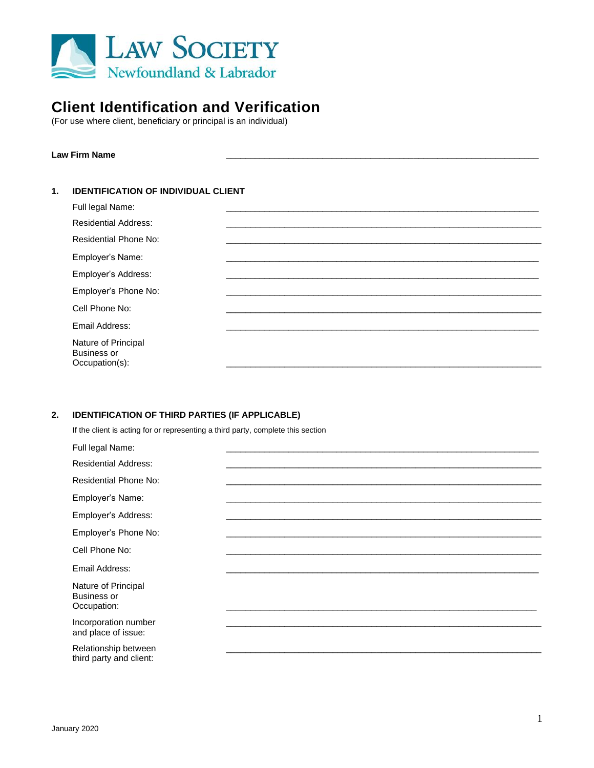

# **Client Identification and Verification**

(For use where client, beneficiary or principal is an individual)

## **Law Firm Name \_\_\_\_\_\_\_\_\_\_\_\_\_\_\_\_\_\_\_\_\_\_\_\_\_\_\_\_\_\_\_\_\_\_\_\_\_\_\_\_\_\_\_\_\_\_\_\_\_\_\_\_\_\_\_\_\_\_\_\_\_\_\_\_\_**

## **1. IDENTIFICATION OF INDIVIDUAL CLIENT**

| Full legal Name:                                            |  |
|-------------------------------------------------------------|--|
| <b>Residential Address:</b>                                 |  |
| Residential Phone No:                                       |  |
| Employer's Name:                                            |  |
| Employer's Address:                                         |  |
| Employer's Phone No:                                        |  |
| Cell Phone No:                                              |  |
| Email Address:                                              |  |
| Nature of Principal<br><b>Business or</b><br>Occupation(s): |  |

### **2. IDENTIFICATION OF THIRD PARTIES (IF APPLICABLE)**

If the client is acting for or representing a third party, complete this section

| Full legal Name:                                         |  |
|----------------------------------------------------------|--|
| <b>Residential Address:</b>                              |  |
| <b>Residential Phone No:</b>                             |  |
| Employer's Name:                                         |  |
| Employer's Address:                                      |  |
| Employer's Phone No:                                     |  |
| Cell Phone No:                                           |  |
| Email Address:                                           |  |
| Nature of Principal<br><b>Business or</b><br>Occupation: |  |
| Incorporation number<br>and place of issue:              |  |
| Relationship between<br>third party and client:          |  |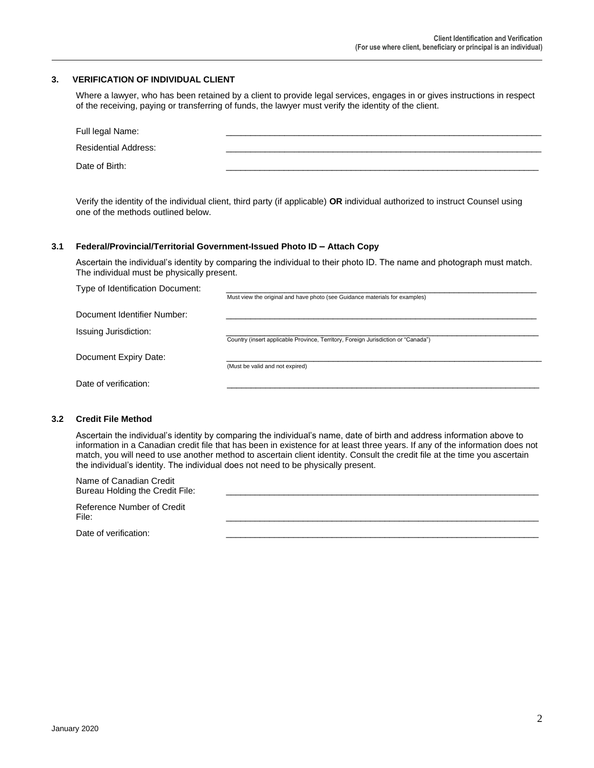### **3. VERIFICATION OF INDIVIDUAL CLIENT**

Where a lawyer, who has been retained by a client to provide legal services, engages in or gives instructions in respect of the receiving, paying or transferring of funds, the lawyer must verify the identity of the client.

| Full legal Name:            |  |
|-----------------------------|--|
| <b>Residential Address:</b> |  |
| Date of Birth:              |  |

Verify the identity of the individual client, third party (if applicable) **OR** individual authorized to instruct Counsel using one of the methods outlined below.

#### **3.1 Federal/Provincial/Territorial Government-Issued Photo ID – Attach Copy**

Ascertain the individual's identity by comparing the individual to their photo ID. The name and photograph must match. The individual must be physically present.

| Type of Identification Document: |                                                                                   |
|----------------------------------|-----------------------------------------------------------------------------------|
|                                  | Must view the original and have photo (see Guidance materials for examples)       |
| Document Identifier Number:      |                                                                                   |
| Issuing Jurisdiction:            | Country (insert applicable Province, Territory, Foreign Jurisdiction or "Canada") |
| Document Expiry Date:            |                                                                                   |
|                                  | (Must be valid and not expired)                                                   |
| Date of verification:            |                                                                                   |
|                                  |                                                                                   |

#### **3.2 Credit File Method**

Ascertain the individual's identity by comparing the individual's name, date of birth and address information above to information in a Canadian credit file that has been in existence for at least three years. If any of the information does not match, you will need to use another method to ascertain client identity. Consult the credit file at the time you ascertain the individual's identity. The individual does not need to be physically present.

| Name of Canadian Credit<br>Bureau Holding the Credit File: |  |
|------------------------------------------------------------|--|
| Reference Number of Credit<br>File:                        |  |
| Date of verification:                                      |  |